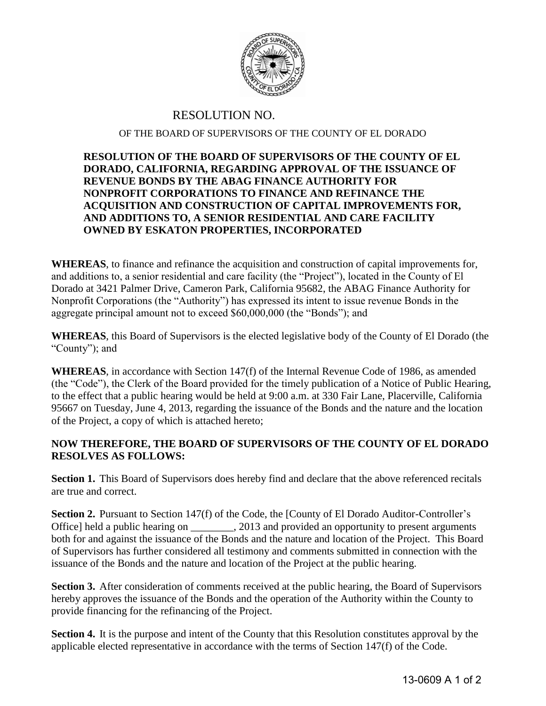

## RESOLUTION NO.

## OF THE BOARD OF SUPERVISORS OF THE COUNTY OF EL DORADO

## **RESOLUTION OF THE BOARD OF SUPERVISORS OF THE COUNTY OF EL DORADO, CALIFORNIA, REGARDING APPROVAL OF THE ISSUANCE OF REVENUE BONDS BY THE ABAG FINANCE AUTHORITY FOR NONPROFIT CORPORATIONS TO FINANCE AND REFINANCE THE ACQUISITION AND CONSTRUCTION OF CAPITAL IMPROVEMENTS FOR, AND ADDITIONS TO, A SENIOR RESIDENTIAL AND CARE FACILITY OWNED BY ESKATON PROPERTIES, INCORPORATED**

**WHEREAS**, to finance and refinance the acquisition and construction of capital improvements for, and additions to, a senior residential and care facility (the "Project"), located in the County of El Dorado at 3421 Palmer Drive, Cameron Park, California 95682, the ABAG Finance Authority for Nonprofit Corporations (the "Authority") has expressed its intent to issue revenue Bonds in the aggregate principal amount not to exceed \$60,000,000 (the "Bonds"); and

**WHEREAS**, this Board of Supervisors is the elected legislative body of the County of El Dorado (the "County"); and

**WHEREAS**, in accordance with Section 147(f) of the Internal Revenue Code of 1986, as amended (the "Code"), the Clerk of the Board provided for the timely publication of a Notice of Public Hearing, to the effect that a public hearing would be held at 9:00 a.m. at 330 Fair Lane, Placerville, California 95667 on Tuesday, June 4, 2013, regarding the issuance of the Bonds and the nature and the location of the Project, a copy of which is attached hereto;

## **NOW THEREFORE, THE BOARD OF SUPERVISORS OF THE COUNTY OF EL DORADO RESOLVES AS FOLLOWS:**

**Section 1.** This Board of Supervisors does hereby find and declare that the above referenced recitals are true and correct.

Section 2. Pursuant to Section 147(f) of the Code, the [County of El Dorado Auditor-Controller's Office] held a public hearing on \_\_\_\_\_\_\_, 2013 and provided an opportunity to present arguments both for and against the issuance of the Bonds and the nature and location of the Project. This Board of Supervisors has further considered all testimony and comments submitted in connection with the issuance of the Bonds and the nature and location of the Project at the public hearing.

**Section 3.** After consideration of comments received at the public hearing, the Board of Supervisors hereby approves the issuance of the Bonds and the operation of the Authority within the County to provide financing for the refinancing of the Project.

**Section 4.** It is the purpose and intent of the County that this Resolution constitutes approval by the applicable elected representative in accordance with the terms of Section 147(f) of the Code.